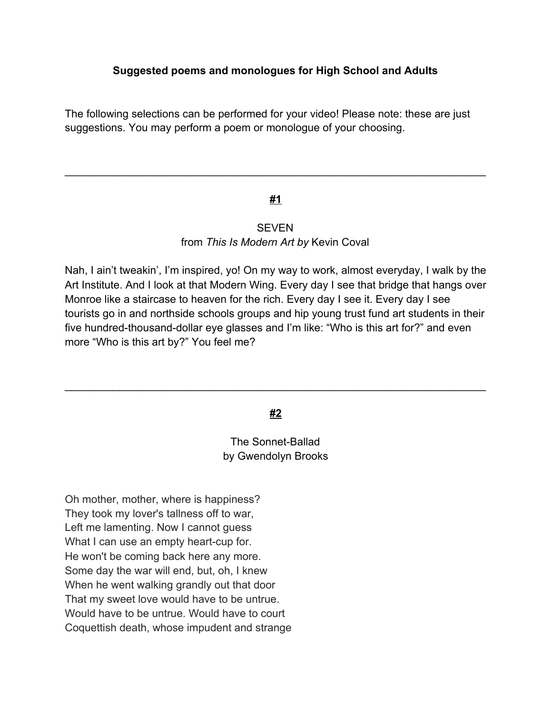The following selections can be performed for your video! Please note: these are just suggestions. You may perform a poem or monologue of your choosing.

# **#1**

\_\_\_\_\_\_\_\_\_\_\_\_\_\_\_\_\_\_\_\_\_\_\_\_\_\_\_\_\_\_\_\_\_\_\_\_\_\_\_\_\_\_\_\_\_\_\_\_\_\_\_\_\_\_\_\_\_\_\_\_\_\_\_\_\_\_\_\_\_\_

### SEVEN from *This Is Modern Art by* Kevin Coval

Nah, I ain't tweakin', I'm inspired, yo! On my way to work, almost everyday, I walk by the Art Institute. And I look at that Modern Wing. Every day I see that bridge that hangs over Monroe like a staircase to heaven for the rich. Every day I see it. Every day I see tourists go in and northside schools groups and hip young trust fund art students in their five hundred-thousand-dollar eye glasses and I'm like: "Who is this art for?" and even more "Who is this art by?" You feel me?

### **#2**

\_\_\_\_\_\_\_\_\_\_\_\_\_\_\_\_\_\_\_\_\_\_\_\_\_\_\_\_\_\_\_\_\_\_\_\_\_\_\_\_\_\_\_\_\_\_\_\_\_\_\_\_\_\_\_\_\_\_\_\_\_\_\_\_\_\_\_\_\_\_

# The Sonnet-Ballad by Gwendolyn Brooks

Oh mother, mother, where is happiness? They took my lover's tallness off to war, Left me lamenting. Now I cannot guess What I can use an empty heart-cup for. He won't be coming back here any more. Some day the war will end, but, oh, I knew When he went walking grandly out that door That my sweet love would have to be untrue. Would have to be untrue. Would have to court Coquettish death, whose impudent and strange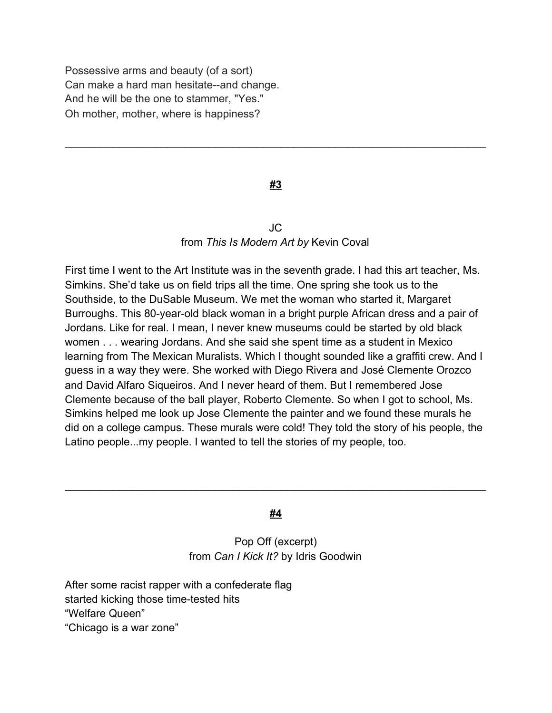Possessive arms and beauty (of a sort) Can make a hard man hesitate--and change. And he will be the one to stammer, "Yes." Oh mother, mother, where is happiness?

### **#3**

\_\_\_\_\_\_\_\_\_\_\_\_\_\_\_\_\_\_\_\_\_\_\_\_\_\_\_\_\_\_\_\_\_\_\_\_\_\_\_\_\_\_\_\_\_\_\_\_\_\_\_\_\_\_\_\_\_\_\_\_\_\_\_\_\_\_\_\_\_\_

## JC from *This Is Modern Art by* Kevin Coval

First time I went to the Art Institute was in the seventh grade. I had this art teacher, Ms. Simkins. She'd take us on field trips all the time. One spring she took us to the Southside, to the DuSable Museum. We met the woman who started it, Margaret Burroughs. This 80-year-old black woman in a bright purple African dress and a pair of Jordans. Like for real. I mean, I never knew museums could be started by old black women . . . wearing Jordans. And she said she spent time as a student in Mexico learning from The Mexican Muralists. Which I thought sounded like a graffiti crew. And I guess in a way they were. She worked with Diego Rivera and José Clemente Orozco and David Alfaro Siqueiros. And I never heard of them. But I remembered Jose Clemente because of the ball player, Roberto Clemente. So when I got to school, Ms. Simkins helped me look up Jose Clemente the painter and we found these murals he did on a college campus. These murals were cold! They told the story of his people, the Latino people...my people. I wanted to tell the stories of my people, too.

#### **#4**

\_\_\_\_\_\_\_\_\_\_\_\_\_\_\_\_\_\_\_\_\_\_\_\_\_\_\_\_\_\_\_\_\_\_\_\_\_\_\_\_\_\_\_\_\_\_\_\_\_\_\_\_\_\_\_\_\_\_\_\_\_\_\_\_\_\_\_\_\_\_

## Pop Off (excerpt) from *Can I Kick It?* by Idris Goodwin

After some racist rapper with a confederate flag started kicking those time-tested hits "Welfare Queen" "Chicago is a war zone"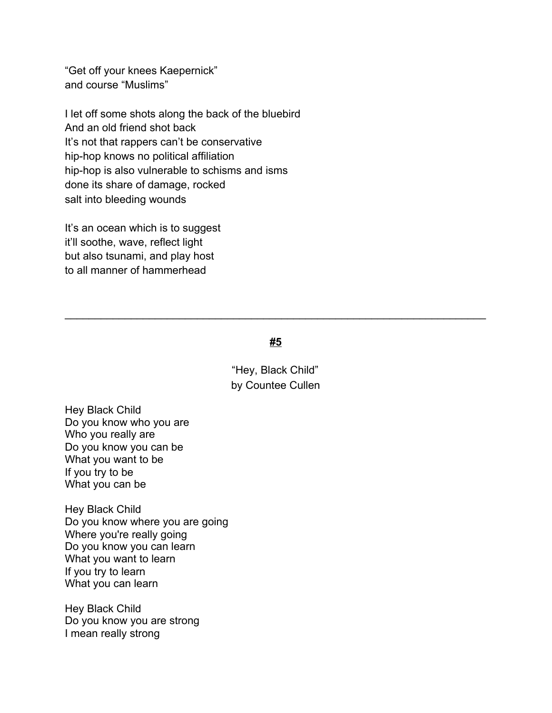"Get off your knees Kaepernick" and course "Muslims"

I let off some shots along the back of the bluebird And an old friend shot back It's not that rappers can't be conservative hip-hop knows no political affiliation hip-hop is also vulnerable to schisms and isms done its share of damage, rocked salt into bleeding wounds

It's an ocean which is to suggest it'll soothe, wave, reflect light but also tsunami, and play host to all manner of hammerhead

#### **#5**

\_\_\_\_\_\_\_\_\_\_\_\_\_\_\_\_\_\_\_\_\_\_\_\_\_\_\_\_\_\_\_\_\_\_\_\_\_\_\_\_\_\_\_\_\_\_\_\_\_\_\_\_\_\_\_\_\_\_\_\_\_\_\_\_\_\_\_\_\_\_

"Hey, Black Child" by Countee Cullen

Hey Black Child Do you know who you are Who you really are Do you know you can be What you want to be If you try to be What you can be

Hey Black Child Do you know where you are going Where you're really going Do you know you can learn What you want to learn If you try to learn What you can learn

Hey Black Child Do you know you are strong I mean really strong